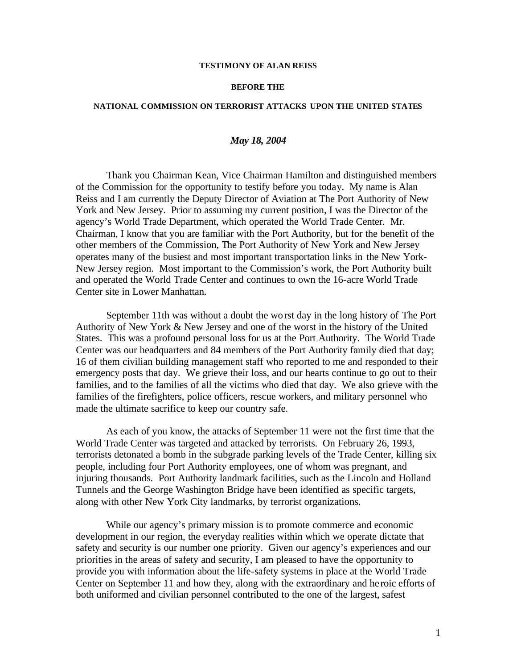#### **TESTIMONY OF ALAN REISS**

#### **BEFORE THE**

#### **NATIONAL COMMISSION ON TERRORIST ATTACKS UPON THE UNITED STATES**

# *May 18, 2004*

Thank you Chairman Kean, Vice Chairman Hamilton and distinguished members of the Commission for the opportunity to testify before you today. My name is Alan Reiss and I am currently the Deputy Director of Aviation at The Port Authority of New York and New Jersey. Prior to assuming my current position, I was the Director of the agency's World Trade Department, which operated the World Trade Center. Mr. Chairman, I know that you are familiar with the Port Authority, but for the benefit of the other members of the Commission, The Port Authority of New York and New Jersey operates many of the busiest and most important transportation links in the New York-New Jersey region. Most important to the Commission's work, the Port Authority built and operated the World Trade Center and continues to own the 16-acre World Trade Center site in Lower Manhattan.

September 11th was without a doubt the worst day in the long history of The Port Authority of New York & New Jersey and one of the worst in the history of the United States. This was a profound personal loss for us at the Port Authority. The World Trade Center was our headquarters and 84 members of the Port Authority family died that day; 16 of them civilian building management staff who reported to me and responded to their emergency posts that day. We grieve their loss, and our hearts continue to go out to their families, and to the families of all the victims who died that day. We also grieve with the families of the firefighters, police officers, rescue workers, and military personnel who made the ultimate sacrifice to keep our country safe.

As each of you know, the attacks of September 11 were not the first time that the World Trade Center was targeted and attacked by terrorists. On February 26, 1993, terrorists detonated a bomb in the subgrade parking levels of the Trade Center, killing six people, including four Port Authority employees, one of whom was pregnant, and injuring thousands. Port Authority landmark facilities, such as the Lincoln and Holland Tunnels and the George Washington Bridge have been identified as specific targets, along with other New York City landmarks, by terrorist organizations.

While our agency's primary mission is to promote commerce and economic development in our region, the everyday realities within which we operate dictate that safety and security is our number one priority. Given our agency's experiences and our priorities in the areas of safety and security, I am pleased to have the opportunity to provide you with information about the life-safety systems in place at the World Trade Center on September 11 and how they, along with the extraordinary and he roic efforts of both uniformed and civilian personnel contributed to the one of the largest, safest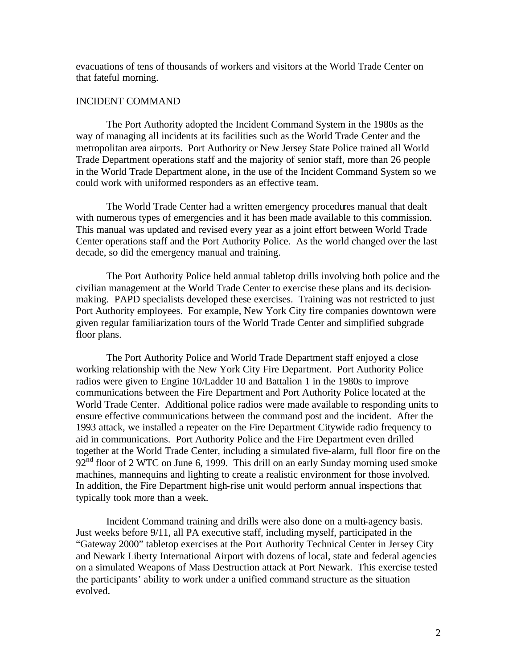evacuations of tens of thousands of workers and visitors at the World Trade Center on that fateful morning.

## INCIDENT COMMAND

The Port Authority adopted the Incident Command System in the 1980s as the way of managing all incidents at its facilities such as the World Trade Center and the metropolitan area airports. Port Authority or New Jersey State Police trained all World Trade Department operations staff and the majority of senior staff, more than 26 people in the World Trade Department alone**,** in the use of the Incident Command System so we could work with uniformed responders as an effective team.

The World Trade Center had a written emergency procedures manual that dealt with numerous types of emergencies and it has been made available to this commission. This manual was updated and revised every year as a joint effort between World Trade Center operations staff and the Port Authority Police. As the world changed over the last decade, so did the emergency manual and training.

The Port Authority Police held annual tabletop drills involving both police and the civilian management at the World Trade Center to exercise these plans and its decisionmaking. PAPD specialists developed these exercises. Training was not restricted to just Port Authority employees. For example, New York City fire companies downtown were given regular familiarization tours of the World Trade Center and simplified subgrade floor plans.

The Port Authority Police and World Trade Department staff enjoyed a close working relationship with the New York City Fire Department. Port Authority Police radios were given to Engine 10/Ladder 10 and Battalion 1 in the 1980s to improve communications between the Fire Department and Port Authority Police located at the World Trade Center. Additional police radios were made available to responding units to ensure effective communications between the command post and the incident. After the 1993 attack, we installed a repeater on the Fire Department Citywide radio frequency to aid in communications. Port Authority Police and the Fire Department even drilled together at the World Trade Center, including a simulated five-alarm, full floor fire on the  $92<sup>nd</sup>$  floor of 2 WTC on June 6, 1999. This drill on an early Sunday morning used smoke machines, mannequins and lighting to create a realistic environment for those involved. In addition, the Fire Department high-rise unit would perform annual inspections that typically took more than a week.

Incident Command training and drills were also done on a multi-agency basis. Just weeks before 9/11, all PA executive staff, including myself, participated in the "Gateway 2000" tabletop exercises at the Port Authority Technical Center in Jersey City and Newark Liberty International Airport with dozens of local, state and federal agencies on a simulated Weapons of Mass Destruction attack at Port Newark. This exercise tested the participants' ability to work under a unified command structure as the situation evolved.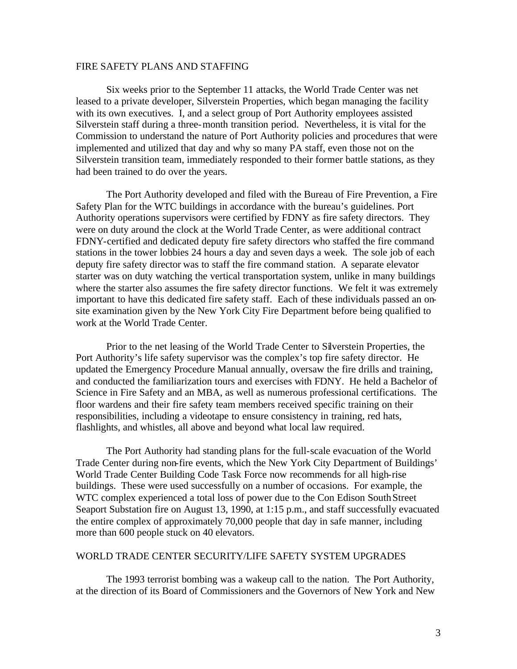# FIRE SAFETY PLANS AND STAFFING

Six weeks prior to the September 11 attacks, the World Trade Center was net leased to a private developer, Silverstein Properties, which began managing the facility with its own executives. I, and a select group of Port Authority employees assisted Silverstein staff during a three-month transition period. Nevertheless, it is vital for the Commission to understand the nature of Port Authority policies and procedures that were implemented and utilized that day and why so many PA staff, even those not on the Silverstein transition team, immediately responded to their former battle stations, as they had been trained to do over the years.

The Port Authority developed and filed with the Bureau of Fire Prevention, a Fire Safety Plan for the WTC buildings in accordance with the bureau's guidelines. Port Authority operations supervisors were certified by FDNY as fire safety directors. They were on duty around the clock at the World Trade Center, as were additional contract FDNY-certified and dedicated deputy fire safety directors who staffed the fire command stations in the tower lobbies 24 hours a day and seven days a week. The sole job of each deputy fire safety director was to staff the fire command station. A separate elevator starter was on duty watching the vertical transportation system, unlike in many buildings where the starter also assumes the fire safety director functions. We felt it was extremely important to have this dedicated fire safety staff. Each of these individuals passed an onsite examination given by the New York City Fire Department before being qualified to work at the World Trade Center.

Prior to the net leasing of the World Trade Center to Silverstein Properties, the Port Authority's life safety supervisor was the complex's top fire safety director. He updated the Emergency Procedure Manual annually, oversaw the fire drills and training, and conducted the familiarization tours and exercises with FDNY. He held a Bachelor of Science in Fire Safety and an MBA, as well as numerous professional certifications. The floor wardens and their fire safety team members received specific training on their responsibilities, including a videotape to ensure consistency in training, red hats, flashlights, and whistles, all above and beyond what local law required.

The Port Authority had standing plans for the full-scale evacuation of the World Trade Center during non-fire events, which the New York City Department of Buildings' World Trade Center Building Code Task Force now recommends for all high-rise buildings. These were used successfully on a number of occasions. For example, the WTC complex experienced a total loss of power due to the Con Edison South Street Seaport Substation fire on August 13, 1990, at 1:15 p.m., and staff successfully evacuated the entire complex of approximately 70,000 people that day in safe manner, including more than 600 people stuck on 40 elevators.

## WORLD TRADE CENTER SECURITY/LIFE SAFETY SYSTEM UPGRADES

The 1993 terrorist bombing was a wakeup call to the nation. The Port Authority, at the direction of its Board of Commissioners and the Governors of New York and New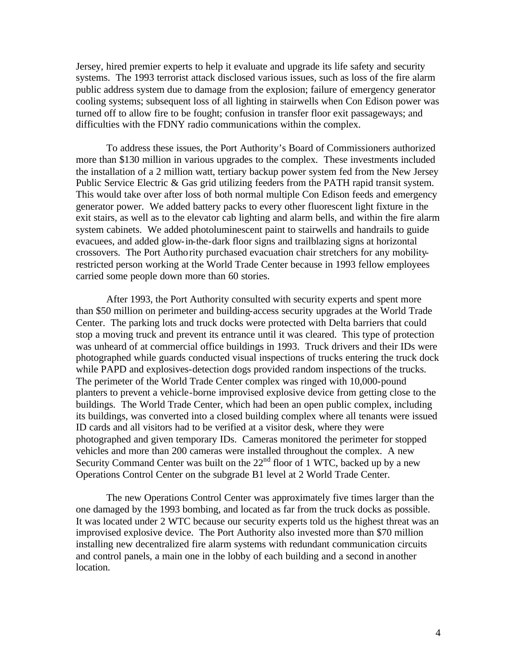Jersey, hired premier experts to help it evaluate and upgrade its life safety and security systems. The 1993 terrorist attack disclosed various issues, such as loss of the fire alarm public address system due to damage from the explosion; failure of emergency generator cooling systems; subsequent loss of all lighting in stairwells when Con Edison power was turned off to allow fire to be fought; confusion in transfer floor exit passageways; and difficulties with the FDNY radio communications within the complex.

To address these issues, the Port Authority's Board of Commissioners authorized more than \$130 million in various upgrades to the complex. These investments included the installation of a 2 million watt, tertiary backup power system fed from the New Jersey Public Service Electric & Gas grid utilizing feeders from the PATH rapid transit system. This would take over after loss of both normal multiple Con Edison feeds and emergency generator power. We added battery packs to every other fluorescent light fixture in the exit stairs, as well as to the elevator cab lighting and alarm bells, and within the fire alarm system cabinets. We added photoluminescent paint to stairwells and handrails to guide evacuees, and added glow-in-the-dark floor signs and trailblazing signs at horizontal crossovers. The Port Authority purchased evacuation chair stretchers for any mobilityrestricted person working at the World Trade Center because in 1993 fellow employees carried some people down more than 60 stories.

After 1993, the Port Authority consulted with security experts and spent more than \$50 million on perimeter and building-access security upgrades at the World Trade Center. The parking lots and truck docks were protected with Delta barriers that could stop a moving truck and prevent its entrance until it was cleared. This type of protection was unheard of at commercial office buildings in 1993. Truck drivers and their IDs were photographed while guards conducted visual inspections of trucks entering the truck dock while PAPD and explosives-detection dogs provided random inspections of the trucks. The perimeter of the World Trade Center complex was ringed with 10,000-pound planters to prevent a vehicle-borne improvised explosive device from getting close to the buildings. The World Trade Center, which had been an open public complex, including its buildings, was converted into a closed building complex where all tenants were issued ID cards and all visitors had to be verified at a visitor desk, where they were photographed and given temporary IDs. Cameras monitored the perimeter for stopped vehicles and more than 200 cameras were installed throughout the complex. A new Security Command Center was built on the  $22<sup>nd</sup>$  floor of 1 WTC, backed up by a new Operations Control Center on the subgrade B1 level at 2 World Trade Center.

The new Operations Control Center was approximately five times larger than the one damaged by the 1993 bombing, and located as far from the truck docks as possible. It was located under 2 WTC because our security experts told us the highest threat was an improvised explosive device. The Port Authority also invested more than \$70 million installing new decentralized fire alarm systems with redundant communication circuits and control panels, a main one in the lobby of each building and a second in another location.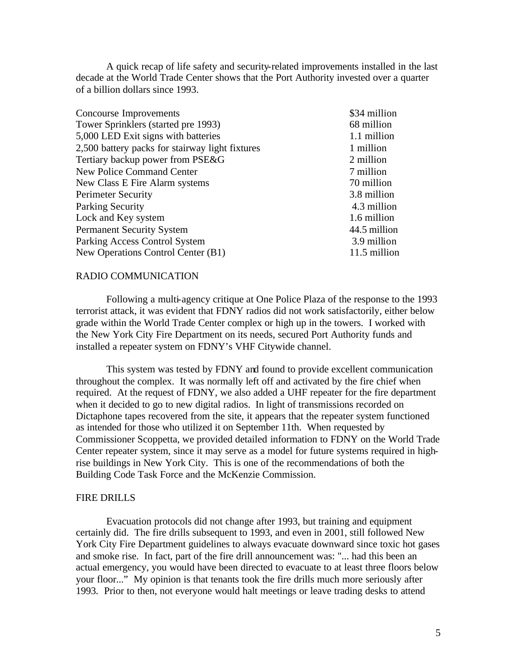A quick recap of life safety and security-related improvements installed in the last decade at the World Trade Center shows that the Port Authority invested over a quarter of a billion dollars since 1993.

| Concourse Improvements                          | \$34 million |
|-------------------------------------------------|--------------|
| Tower Sprinklers (started pre 1993)             | 68 million   |
| 5,000 LED Exit signs with batteries             | 1.1 million  |
| 2,500 battery packs for stairway light fixtures | 1 million    |
| Tertiary backup power from PSE&G                | 2 million    |
| <b>New Police Command Center</b>                | 7 million    |
| New Class E Fire Alarm systems                  | 70 million   |
| <b>Perimeter Security</b>                       | 3.8 million  |
| <b>Parking Security</b>                         | 4.3 million  |
| Lock and Key system                             | 1.6 million  |
| <b>Permanent Security System</b>                | 44.5 million |
| Parking Access Control System                   | 3.9 million  |
| New Operations Control Center (B1)              | 11.5 million |

## RADIO COMMUNICATION

Following a multi-agency critique at One Police Plaza of the response to the 1993 terrorist attack, it was evident that FDNY radios did not work satisfactorily, either below grade within the World Trade Center complex or high up in the towers. I worked with the New York City Fire Department on its needs, secured Port Authority funds and installed a repeater system on FDNY's VHF Citywide channel.

This system was tested by FDNY and found to provide excellent communication throughout the complex. It was normally left off and activated by the fire chief when required. At the request of FDNY, we also added a UHF repeater for the fire department when it decided to go to new digital radios. In light of transmissions recorded on Dictaphone tapes recovered from the site, it appears that the repeater system functioned as intended for those who utilized it on September 11th. When requested by Commissioner Scoppetta, we provided detailed information to FDNY on the World Trade Center repeater system, since it may serve as a model for future systems required in highrise buildings in New York City. This is one of the recommendations of both the Building Code Task Force and the McKenzie Commission.

#### FIRE DRILLS

Evacuation protocols did not change after 1993, but training and equipment certainly did. The fire drills subsequent to 1993, and even in 2001, still followed New York City Fire Department guidelines to always evacuate downward since toxic hot gases and smoke rise. In fact, part of the fire drill announcement was: "... had this been an actual emergency, you would have been directed to evacuate to at least three floors below your floor..." My opinion is that tenants took the fire drills much more seriously after 1993. Prior to then, not everyone would halt meetings or leave trading desks to attend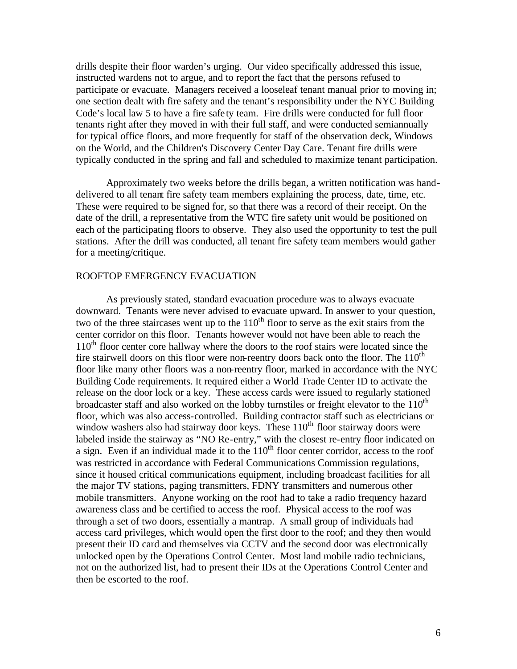drills despite their floor warden's urging. Our video specifically addressed this issue, instructed wardens not to argue, and to report the fact that the persons refused to participate or evacuate. Managers received a looseleaf tenant manual prior to moving in; one section dealt with fire safety and the tenant's responsibility under the NYC Building Code's local law 5 to have a fire safe ty team. Fire drills were conducted for full floor tenants right after they moved in with their full staff, and were conducted semiannually for typical office floors, and more frequently for staff of the observation deck, Windows on the World, and the Children's Discovery Center Day Care. Tenant fire drills were typically conducted in the spring and fall and scheduled to maximize tenant participation.

Approximately two weeks before the drills began, a written notification was handdelivered to all tenant fire safety team members explaining the process, date, time, etc. These were required to be signed for, so that there was a record of their receipt. On the date of the drill, a representative from the WTC fire safety unit would be positioned on each of the participating floors to observe. They also used the opportunity to test the pull stations. After the drill was conducted, all tenant fire safety team members would gather for a meeting/critique.

# ROOFTOP EMERGENCY EVACUATION

As previously stated, standard evacuation procedure was to always evacuate downward. Tenants were never advised to evacuate upward. In answer to your question, two of the three staircases went up to the  $110<sup>th</sup>$  floor to serve as the exit stairs from the center corridor on this floor. Tenants however would not have been able to reach the  $110<sup>th</sup>$  floor center core hallway where the doors to the roof stairs were located since the fire stairwell doors on this floor were non-reentry doors back onto the floor. The  $110<sup>th</sup>$ floor like many other floors was a non-reentry floor, marked in accordance with the NYC Building Code requirements. It required either a World Trade Center ID to activate the release on the door lock or a key. These access cards were issued to regularly stationed broadcaster staff and also worked on the lobby turnstiles or freight elevator to the  $110<sup>th</sup>$ floor, which was also access-controlled. Building contractor staff such as electricians or window washers also had stairway door keys. These  $110<sup>th</sup>$  floor stairway doors were labeled inside the stairway as "NO Re-entry," with the closest re-entry floor indicated on a sign. Even if an individual made it to the  $110<sup>th</sup>$  floor center corridor, access to the roof was restricted in accordance with Federal Communications Commission regulations, since it housed critical communications equipment, including broadcast facilities for all the major TV stations, paging transmitters, FDNY transmitters and numerous other mobile transmitters. Anyone working on the roof had to take a radio frequency hazard awareness class and be certified to access the roof. Physical access to the roof was through a set of two doors, essentially a mantrap. A small group of individuals had access card privileges, which would open the first door to the roof; and they then would present their ID card and themselves via CCTV and the second door was electronically unlocked open by the Operations Control Center. Most land mobile radio technicians, not on the authorized list, had to present their IDs at the Operations Control Center and then be escorted to the roof.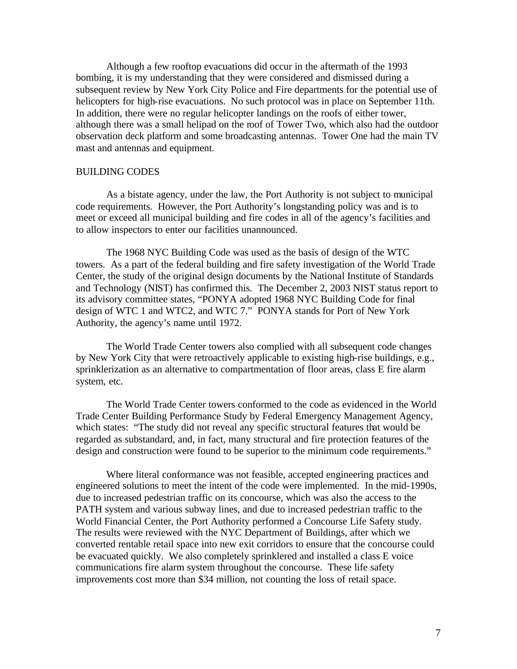Although a few rooftop evacuations did occur in the aftermath of the 1993 bombing, it is my understanding that they were considered and dismissed during a subsequent review by New York City Police and Fire departments for the potential use of helicopters for high-rise evacuations. No such protocol was in place on September 11th. In addition, there were no regular helicopter landings on the roofs of either tower, although there was a small helipad on the roof of Tower Two, which also had the outdoor observation deck platform and some broadcasting antennas. Tower One had the main TV mast and antennas and equipment.

### BUILDING CODES

As a bistate agency, under the law, the Port Authority is not subject to municipal code requirements. However, the Port Authority's longstanding policy was and is to meet or exceed all municipal building and fire codes in all of the agency's facilities and to allow inspectors to enter our facilities unannounced.

The 1968 NYC Building Code was used as the basis of design of the WTC towers. As a part of the federal building and fire safety investigation of the World Trade Center, the study of the original design documents by the National Institute of Standards and Technology (NIST) has confirmed this. The December 2, 2003 NIST status report to its advisory committee states, "PONYA adopted 1968 NYC Building Code for final design of WTC 1 and WTC2, and WTC 7." PONYA stands for Port of New York Authority, the agency's name until 1972.

The World Trade Center towers also complied with all subsequent code changes by New York City that were retroactively applicable to existing high-rise buildings, e.g., sprinklerization as an alternative to compartmentation of floor areas, class E fire alarm system, etc.

The World Trade Center towers conformed to the code as evidenced in the World Trade Center Building Performance Study by Federal Emergency Management Agency, which states: "The study did not reveal any specific structural features that would be regarded as substandard, and, in fact, many structural and fire protection features of the design and construction were found to be superior to the minimum code requirements."

Where literal conformance was not feasible, accepted engineering practices and engineered solutions to meet the intent of the code were implemented. In the mid-1990s, due to increased pedestrian traffic on its concourse, which was also the access to the PATH system and various subway lines, and due to increased pedestrian traffic to the World Financial Center, the Port Authority performed a Concourse Life Safety study. The results were reviewed with the NYC Department of Buildings, after which we converted rentable retail space into new exit corridors to ensure that the concourse could be evacuated quickly. We also completely sprinklered and installed a class E voice communications fire alarm system throughout the concourse. These life safety improvements cost more than \$34 million, not counting the loss of retail space.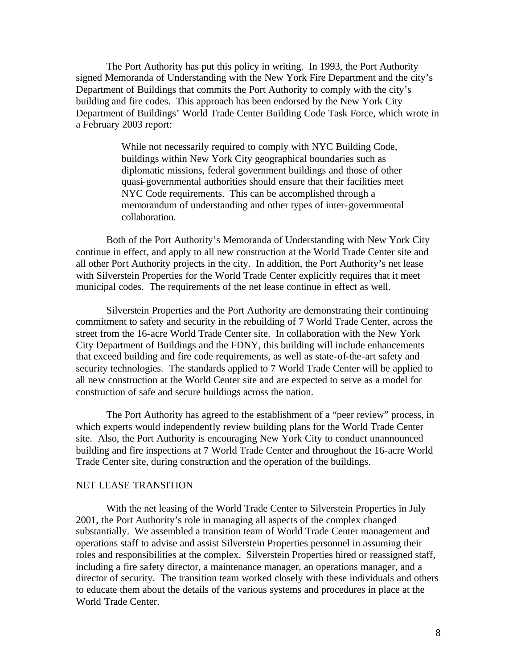The Port Authority has put this policy in writing. In 1993, the Port Authority signed Memoranda of Understanding with the New York Fire Department and the city's Department of Buildings that commits the Port Authority to comply with the city's building and fire codes. This approach has been endorsed by the New York City Department of Buildings' World Trade Center Building Code Task Force, which wrote in a February 2003 report:

> While not necessarily required to comply with NYC Building Code, buildings within New York City geographical boundaries such as diplomatic missions, federal government buildings and those of other quasi-governmental authorities should ensure that their facilities meet NYC Code requirements. This can be accomplished through a memorandum of understanding and other types of inter-governmental collaboration.

Both of the Port Authority's Memoranda of Understanding with New York City continue in effect, and apply to all new construction at the World Trade Center site and all other Port Authority projects in the city. In addition, the Port Authority's net lease with Silverstein Properties for the World Trade Center explicitly requires that it meet municipal codes. The requirements of the net lease continue in effect as well.

Silverstein Properties and the Port Authority are demonstrating their continuing commitment to safety and security in the rebuilding of 7 World Trade Center, across the street from the 16-acre World Trade Center site. In collaboration with the New York City Department of Buildings and the FDNY, this building will include enhancements that exceed building and fire code requirements, as well as state-of-the-art safety and security technologies. The standards applied to 7 World Trade Center will be applied to all new construction at the World Center site and are expected to serve as a model for construction of safe and secure buildings across the nation.

The Port Authority has agreed to the establishment of a "peer review" process, in which experts would independently review building plans for the World Trade Center site. Also, the Port Authority is encouraging New York City to conduct unannounced building and fire inspections at 7 World Trade Center and throughout the 16-acre World Trade Center site, during construction and the operation of the buildings.

## NET LEASE TRANSITION

With the net leasing of the World Trade Center to Silverstein Properties in July 2001, the Port Authority's role in managing all aspects of the complex changed substantially. We assembled a transition team of World Trade Center management and operations staff to advise and assist Silverstein Properties personnel in assuming their roles and responsibilities at the complex. Silverstein Properties hired or reassigned staff, including a fire safety director, a maintenance manager, an operations manager, and a director of security. The transition team worked closely with these individuals and others to educate them about the details of the various systems and procedures in place at the World Trade Center.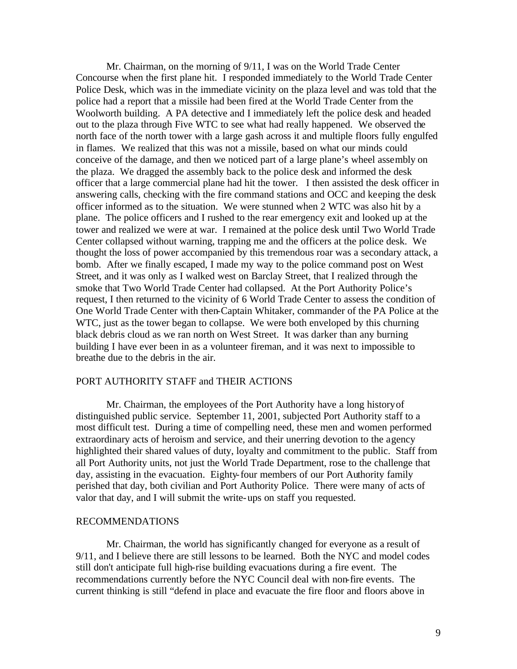Mr. Chairman, on the morning of 9/11, I was on the World Trade Center Concourse when the first plane hit. I responded immediately to the World Trade Center Police Desk, which was in the immediate vicinity on the plaza level and was told that the police had a report that a missile had been fired at the World Trade Center from the Woolworth building. A PA detective and I immediately left the police desk and headed out to the plaza through Five WTC to see what had really happened. We observed the north face of the north tower with a large gash across it and multiple floors fully engulfed in flames. We realized that this was not a missile, based on what our minds could conceive of the damage, and then we noticed part of a large plane's wheel assembly on the plaza. We dragged the assembly back to the police desk and informed the desk officer that a large commercial plane had hit the tower. I then assisted the desk officer in answering calls, checking with the fire command stations and OCC and keeping the desk officer informed as to the situation. We were stunned when 2 WTC was also hit by a plane. The police officers and I rushed to the rear emergency exit and looked up at the tower and realized we were at war. I remained at the police desk until Two World Trade Center collapsed without warning, trapping me and the officers at the police desk. We thought the loss of power accompanied by this tremendous roar was a secondary attack, a bomb. After we finally escaped, I made my way to the police command post on West Street, and it was only as I walked west on Barclay Street, that I realized through the smoke that Two World Trade Center had collapsed. At the Port Authority Police's request, I then returned to the vicinity of 6 World Trade Center to assess the condition of One World Trade Center with then-Captain Whitaker, commander of the PA Police at the WTC, just as the tower began to collapse. We were both enveloped by this churning black debris cloud as we ran north on West Street. It was darker than any burning building I have ever been in as a volunteer fireman, and it was next to impossible to breathe due to the debris in the air.

# PORT AUTHORITY STAFF and THEIR ACTIONS

Mr. Chairman, the employees of the Port Authority have a long history of distinguished public service. September 11, 2001, subjected Port Authority staff to a most difficult test. During a time of compelling need, these men and women performed extraordinary acts of heroism and service, and their unerring devotion to the agency highlighted their shared values of duty, loyalty and commitment to the public. Staff from all Port Authority units, not just the World Trade Department, rose to the challenge that day, assisting in the evacuation. Eighty-four members of our Port Authority family perished that day, both civilian and Port Authority Police. There were many of acts of valor that day, and I will submit the write-ups on staff you requested.

# RECOMMENDATIONS

Mr. Chairman, the world has significantly changed for everyone as a result of 9/11, and I believe there are still lessons to be learned. Both the NYC and model codes still don't anticipate full high-rise building evacuations during a fire event. The recommendations currently before the NYC Council deal with non-fire events. The current thinking is still "defend in place and evacuate the fire floor and floors above in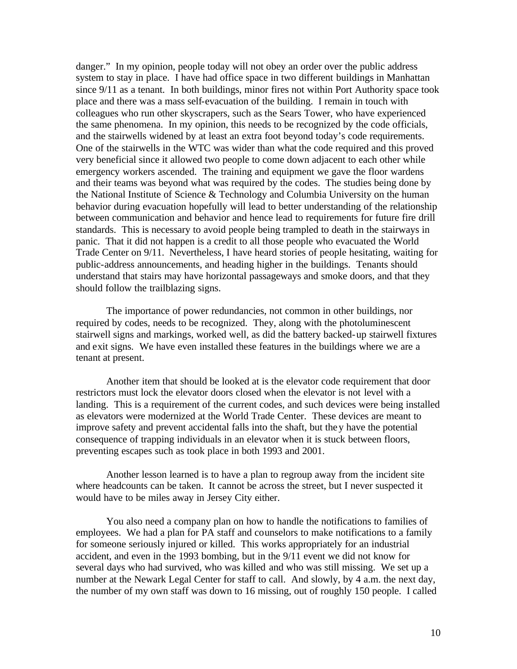danger." In my opinion, people today will not obey an order over the public address system to stay in place. I have had office space in two different buildings in Manhattan since 9/11 as a tenant. In both buildings, minor fires not within Port Authority space took place and there was a mass self-evacuation of the building. I remain in touch with colleagues who run other skyscrapers, such as the Sears Tower, who have experienced the same phenomena. In my opinion, this needs to be recognized by the code officials, and the stairwells widened by at least an extra foot beyond today's code requirements. One of the stairwells in the WTC was wider than what the code required and this proved very beneficial since it allowed two people to come down adjacent to each other while emergency workers ascended. The training and equipment we gave the floor wardens and their teams was beyond what was required by the codes. The studies being done by the National Institute of Science & Technology and Columbia University on the human behavior during evacuation hopefully will lead to better understanding of the relationship between communication and behavior and hence lead to requirements for future fire drill standards. This is necessary to avoid people being trampled to death in the stairways in panic. That it did not happen is a credit to all those people who evacuated the World Trade Center on 9/11. Nevertheless, I have heard stories of people hesitating, waiting for public-address announcements, and heading higher in the buildings. Tenants should understand that stairs may have horizontal passageways and smoke doors, and that they should follow the trailblazing signs.

The importance of power redundancies, not common in other buildings, nor required by codes, needs to be recognized. They, along with the photoluminescent stairwell signs and markings, worked well, as did the battery backed-up stairwell fixtures and exit signs. We have even installed these features in the buildings where we are a tenant at present.

Another item that should be looked at is the elevator code requirement that door restrictors must lock the elevator doors closed when the elevator is not level with a landing. This is a requirement of the current codes, and such devices were being installed as elevators were modernized at the World Trade Center. These devices are meant to improve safety and prevent accidental falls into the shaft, but they have the potential consequence of trapping individuals in an elevator when it is stuck between floors, preventing escapes such as took place in both 1993 and 2001.

Another lesson learned is to have a plan to regroup away from the incident site where headcounts can be taken. It cannot be across the street, but I never suspected it would have to be miles away in Jersey City either.

You also need a company plan on how to handle the notifications to families of employees. We had a plan for PA staff and counselors to make notifications to a family for someone seriously injured or killed. This works appropriately for an industrial accident, and even in the 1993 bombing, but in the 9/11 event we did not know for several days who had survived, who was killed and who was still missing. We set up a number at the Newark Legal Center for staff to call. And slowly, by 4 a.m. the next day, the number of my own staff was down to 16 missing, out of roughly 150 people. I called